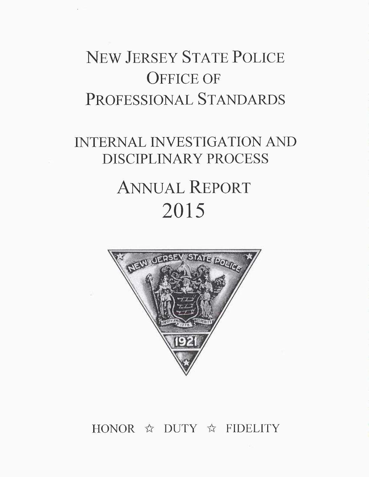## NEW JERSEY STATE POLICE OFFICE OF PROFESSIONAL STANDARDS

### INTERNAL INVESTIGATION AND DISCIPLINARY PROCESS

# ANNUAL REPORT 2015



### HONOR  $\hat{\mathbb{X}}$  DUTY  $\hat{\mathbb{X}}$  FIDELITY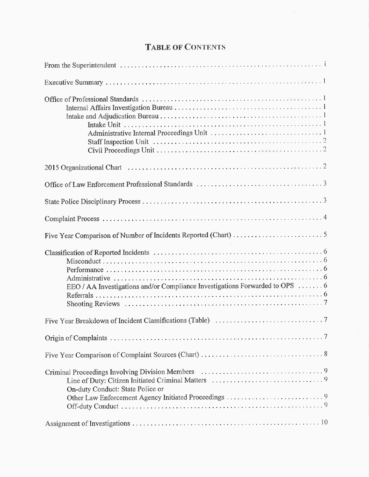### TABLE OF CONTENTS

| EEO / AA Investigations and/or Compliance Investigations Forwarded to OPS  6 |
|------------------------------------------------------------------------------|
|                                                                              |
|                                                                              |
|                                                                              |
| On-duty Conduct: State Police or                                             |
|                                                                              |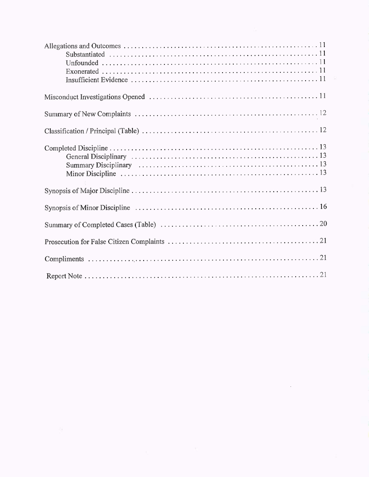$\cdot$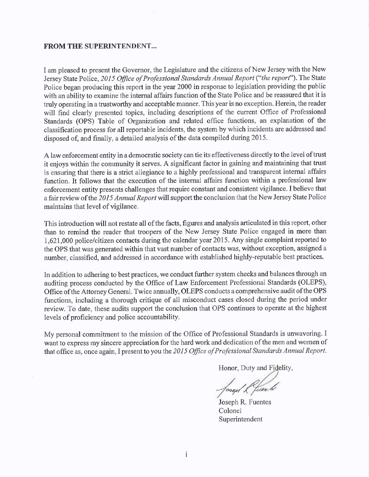#### FROM THE SUPERINTENDENT...

<sup>I</sup>am pleased to present the Governor, the Legislature and the citizens of New Jersey with the New Jersey State Police, 2015 Office of Professional Standards Annual Report ("the report"). The State Police began producing this report in the year 2000 in response to legislation providing the public with an ability to examine the internal affairs function of the State Police and be reassured that it is truly operating in a trustworthy and acceptable manner. This year is no exception. Herein, the reader will find clearly presented topics, including descriptions of the current Office of Professional Standards (OPS) Table of Organization and related office functions, an explanation of the classification process for all reportable incidents, the system by which incidents are addressed and disposed of, and finally, a detailed analysis of the data compiled during 2015.

<sup>A</sup>law enforcement entity in a democratic society can tie its effectiveness directly to the level of trust it enjoys within the community it serves. A significant factor in gaining and maintaining that trust is ensuring that there is a strict allegiance to a highly professional and transparent internal affairs function. It follows that the execution of the internal affairs function within a professional law enforcement entity presents challenges that require constant and consistent vigilance. I believe that a fair review of the 2015 Annual Report will support the conclusion that the New Jersey State Police maintains that level of vigilance.

This introduction will not restate all of the facts, figures and analysis articulated in this report, other than to remind the reader that troopers of the New Jersey State Police engaged in more than 1,621,000 police/citizen contacts during the calendar year 2015. Any single complaint reported to the OPS that was generated within that vast number of contacts was, without exception, assigned <sup>a</sup> number, classified, and addressed in accordance with established highly-reputable best practices.

In addition to adhering to best practices, we conduct further system checks and balances through an auditing process conducted by the Office of Law Enforcement Professional Standards (OLEPS), Office of the Attorney General. Twice annually, OLEPS conducts a comprehensive audit of the OPS functions, including a thorough critique of all misconduct cases closed during the period under review. To date, these audits support the conclusion that OPS continues to operate at the highest levels of proficiency and police accountability.

My personal commitment to the mission of the Office of Professional Standards is unwavering. I want to express my sincere appreciation for the hard work and dedication of the men and women of that office as, once again, I present to you the 2015 Office of Professional Standards Annual Report.

Honor, Duty and Fidelity,

losed L fierd

Joseph R. Fuentes Colonel Superintendent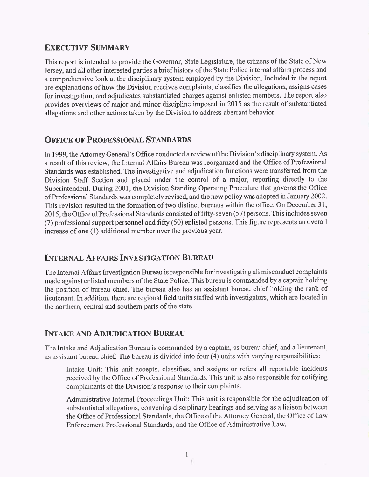#### EXECUTIVE SUMMARY

This report is intended to provide the Governor, State Legislature, the citizens of the State of New Jersey, and all other interested parties a brief history of the State Police internal affairs process and a comprehensive look at the disciplinary system employed by the Division. Included in the report are explanations of how the Division receives complaints, classifies the allegations, assigns cases for investigation, and adjudicates substantiated charges against enlisted members. The report also provides overviews of major and minor discipline imposed in 2015 as the result of substantiated allegations and other actions taken by the Division to address aberrant behavior.

#### OFFICE OF PROFESSIONAL STANDARDS

In 1999, the Attorney General's Office conducted a review of the Division's disciplinary system. As a result of this review, the Internal Affairs Bureau was reorganized and the Office of Professional Standards was established. The investigative and adjudication functions were transferred from the Division Staff Section and placed under the control of a major, reporting directly to the Superintendent. During 2001, the Division Standing Operating Procedure that governs the Office of Professional Standards was completely revised, and the new policy was adopted in January 2002. This revision resulted in the formation of two distinct bureaus within the office. On December 31, 2015, the Office of Professional Standards consisted offifty-seven (57) persons. This includes seven (7) professional support personnel and fifty (50) enlisted persons. This figure represents an overall increase of one (1) additional member over the previous year.

#### INTERNAL AFFAIRS INVESTIGATION BUREAU

The Internal Affairs Investigation Bureau is responsible for investigating all misconduct complaints made against enlisted members of the State Police. This bureau is commanded by a captain holding the position of bureau chief. The bureau also has an assistant bureau chief holding the rank of lieutenant. In addition, there are regional field units staffed with investigators, which are located in the northern, central and southern parts of the state.

#### INTAKE AND ADJUDICATION BUREAU

The Intake and Adjudication Bureau is commanded by a captain, as bureau chief, and a lieutenant, as assistant bureau chief. The bureau is divided into four (4) units with varying responsibilities:

Intake Unit: This unit accepts, classifies, and assigns or refers all reportable incidents received by the Office of Professional Standards. This unit is also responsible for notifying complainants of the Division's response to their complaints.

Administrative Internal Proceedings Unit: This unit is responsible for the adjudication of substantiated allegations, convening disciplinary hearings and serving as a liaison between the Office of Professional Standards, the Office of the Attorney General, the Office of Law Enforcement Professional Standards, and the Office of Administrative Law.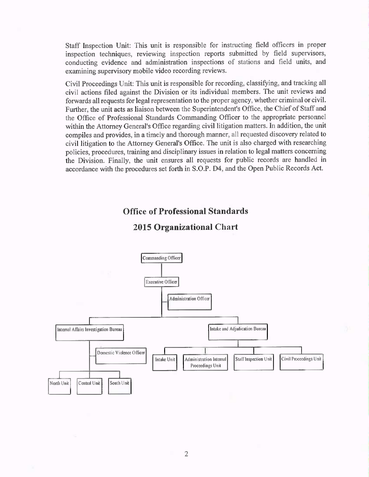Staff Inspection Unit: This unit is responsible for instructing field officers in proper inspection techniques, reviewing inspection reports submitted by field supervisors, conducting evidence and administration inspections of stations and field units, and examining supervisory mobile video recording reviews.

Civil Proceedings Unit: This unit is responsible for recording, classifying, and tracking all civil actions filed against the Division or its individual members. The unit reviews and forwards all requests for legal representation to the proper agency, whether criminal or civil. Further, the unit acts as liaison between the Superintendent's Office, the Chief of Staff and the Office of Professional Standards Commanding Officer to the appropriate personnel within the Attorney General's Office regarding civil litigation matters. In addition, the unit compiles and provides, in a timely and thorough manner, all requested discovery related to civil litigation to the Attorney General's Office. The unit is also charged with researching policies, procedures, training and disciplinary issues in relation to legal matters concerning the Division. Finally, the unit ensures all requests for public records are handled in accordance with the procedures set forth in S.O.P. D4, and the Open Public Records Act.

#### Office of Professional Standards

#### 2015 Organizational Chart